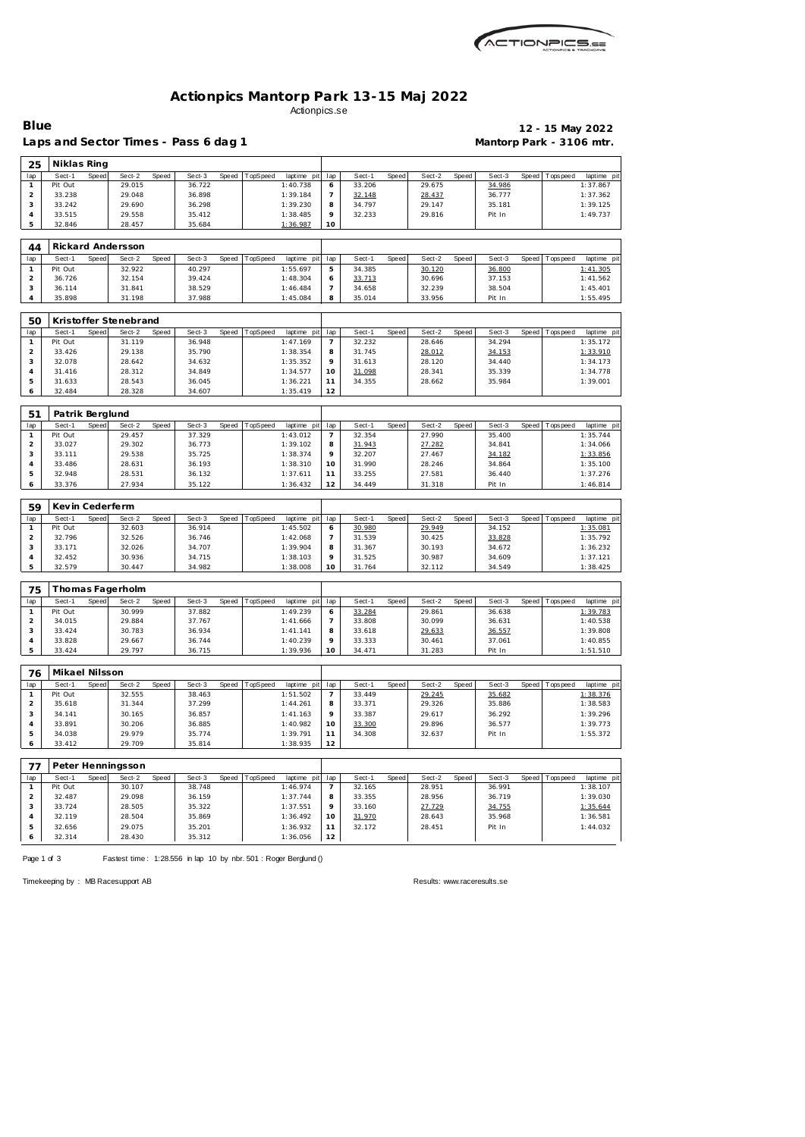| <i>CACTIONPICS.sa</i> |
|-----------------------|
| 〒西ム田米田AV集             |

## **Actionpics Mantorp Park 13-15 Maj 2022** Actionpics.se

Laps and Sector Times - Pass 6 dag 1 **Mantorp Park - 3106 mtr.** 

**Blue 12 - 15 May 2022**

| 25             | Niklas Ring      |       |                       |       |                  |       |          |                      |                |                  |       |                  |       |                  |       |                |                                                     |
|----------------|------------------|-------|-----------------------|-------|------------------|-------|----------|----------------------|----------------|------------------|-------|------------------|-------|------------------|-------|----------------|-----------------------------------------------------|
| lap            | Sect-1           | Speed | Sect-2                | Speed | Sect-3           | Speed | TopSpeed | laptime pit          | lap            | Sect-1           | Speed | Sect-2           | Speed | Sect-3           | Speed | T ops pee d    | laptime pi                                          |
| $\mathbf{1}$   | Pit Out          |       | 29.015                |       | 36.722           |       |          | 1:40.738             | 6              | 33.206           |       | 29.675           |       | 34.986           |       |                | 1:37.867                                            |
| $\overline{a}$ | 33.238           |       | 29.048                |       | 36.898           |       |          | 1:39.184             | $\overline{7}$ | 32.148           |       | 28.437           |       | 36.777           |       |                | 1:37.362                                            |
| 3              | 33.242           |       | 29.690                |       | 36.298           |       |          | 1:39.230             | 8              | 34.797           |       | 29.147           |       | 35.181           |       |                | 1:39.125                                            |
| $\overline{4}$ | 33.515           |       | 29.558                |       | 35.412           |       |          | 1:38.485             | 9              | 32.233           |       | 29.816           |       | Pit In           |       |                | 1:49.737                                            |
| 5              | 32.846           |       | 28.457                |       | 35.684           |       |          | 1:36.987             | 10             |                  |       |                  |       |                  |       |                |                                                     |
| 44             |                  |       | Rickard Andersson     |       |                  |       |          |                      |                |                  |       |                  |       |                  |       |                |                                                     |
| lap            | Sect-1           | Speed | Sect-2                | Speed | Sect-3           | Speed | TopSpeed | laptime pit          | lap            | Sect-1           | Speed | Sect-2           | Speed | Sect-3           | Speed | Tops peed      | laptime pi                                          |
| $\mathbf{1}$   | Pit Out          |       | 32.922                |       | 40.297           |       |          | 1:55.697             | 5              | 34.385           |       | 30.120           |       | 36.800           |       |                | 1:41.305                                            |
| $\sqrt{2}$     | 36.726           |       | 32.154                |       | 39.424           |       |          | 1:48.304             | 6              | 33.713           |       | 30.696           |       | 37.153           |       |                | 1:41.562                                            |
| 3              | 36.114           |       | 31.841                |       | 38.529           |       |          | 1:46.484             | $\overline{7}$ | 34.658           |       | 32.239           |       | 38.504           |       |                | 1:45.401                                            |
| 4              | 35.898           |       | 31.198                |       | 37.988           |       |          | 1:45.084             | 8              | 35.014           |       | 33.956           |       | Pit In           |       |                | 1:55.495                                            |
|                |                  |       |                       |       |                  |       |          |                      |                |                  |       |                  |       |                  |       |                |                                                     |
| 50             |                  |       | Kristoffer Stenebrand |       |                  |       |          |                      |                |                  |       |                  |       |                  |       |                |                                                     |
| lap            | Sect-1           | Speed | Sect-2                | Speed | Sect-3           | Speed | TopSpeed | laptime pit          | lap            | Sect-1           | Speed | Sect-2           | Speed | Sect-3           |       | Speed Topspeed | laptime pi                                          |
| $\mathbf{1}$   | Pit Out          |       | 31.119                |       | 36.948           |       |          | 1:47.169             | 7              | 32.232           |       | 28.646           |       | 34.294           |       |                | 1:35.172                                            |
| $\overline{a}$ | 33.426           |       | 29.138                |       | 35.790           |       |          | 1:38.354             | 8              | 31.745           |       | 28.012           |       | 34.153           |       |                | 1:33.910                                            |
| 3              | 32.078           |       | 28.642                |       | 34.632           |       |          | 1:35.352             | 9              | 31.613           |       | 28.120           |       | 34.440           |       |                | 1:34.173                                            |
| $\overline{4}$ | 31.416           |       | 28.312                |       | 34.849           |       |          | 1:34.577             | 10             | 31.098           |       | 28.341           |       | 35.339           |       |                | 1:34.778                                            |
| 5              | 31.633           |       | 28.543                |       | 36.045           |       |          | 1:36.221             | 11             | 34.355           |       | 28.662           |       | 35.984           |       |                | 1:39.001                                            |
| 6              | 32.484           |       | 28.328                |       | 34.607           |       |          | 1:35.419             | 12             |                  |       |                  |       |                  |       |                |                                                     |
|                |                  |       |                       |       |                  |       |          |                      |                |                  |       |                  |       |                  |       |                |                                                     |
| 51             | Patrik Berglund  |       |                       |       |                  |       |          |                      |                |                  |       |                  |       |                  |       |                |                                                     |
| lap            | Sect-1           | Speed | Sect-2                | Speed | Sect-3           | Speed | TopSpeed | laptime pit          | lap            | Sect-1           | Speed | Sect-2           | Speed | Sect-3           | Speed | Tops peed      | laptime pi                                          |
| $\mathbf{1}$   | Pit Out          |       | 29.457                |       | 37.329           |       |          | 1:43.012             | $\overline{7}$ | 32.354           |       | 27.990           |       | 35.400           |       |                | 1:35.744                                            |
| $\overline{2}$ | 33.027           |       | 29.302                |       | 36.773           |       |          | 1:39.102             | 8              | 31.943           |       | 27.282           |       | 34.841           |       |                | 1:34.066                                            |
| $\sqrt{3}$     | 33.111           |       | 29.538                |       | 35.725           |       |          | 1:38.374             | 9              | 32.207           |       | 27.467           |       | 34.182           |       |                | 1:33.856                                            |
| $\overline{4}$ | 33.486           |       | 28.631                |       | 36.193           |       |          | 1:38.310             | 10             | 31.990           |       | 28.246           |       | 34.864           |       |                | 1:35.100                                            |
| 5              | 32.948           |       | 28.531                |       | 36.132           |       |          | 1:37.611             | 11             | 33.255           |       | 27.581           |       | 36.440           |       |                | 1:37.276                                            |
| 6              | 33.376           |       | 27.934                |       | 35.122           |       |          | 1:36.432             | 12             | 34.449           |       | 31.318           |       | Pit In           |       |                | 1:46.814                                            |
| 59             | Kevin Cederferm  |       |                       |       |                  |       |          |                      |                |                  |       |                  |       |                  |       |                |                                                     |
|                |                  |       |                       |       |                  |       |          |                      |                |                  |       |                  |       |                  |       |                |                                                     |
|                |                  |       |                       |       |                  |       |          |                      |                |                  |       |                  |       |                  |       |                |                                                     |
| lap            | Sect-1           | Speed | Sect-2                | Speed | Sect-3           | Speed | TopSpeed | laptime pit          | lap            | Sect-1           | Speed | Sect-2           | Speed | Sect-3           |       | Speed Topspeed |                                                     |
| $\mathbf{1}$   | Pit Out          |       | 32.603                |       | 36.914           |       |          | 1:45.502             | 6              | 30.980           |       | 29.949           |       | 34.152           |       |                | 1:35.081                                            |
| $\sqrt{2}$     | 32.796           |       | 32.526                |       | 36.746           |       |          | 1:42.068             | $\overline{7}$ | 31.539           |       | 30.425           |       | 33.828           |       |                | 1:35.792                                            |
| 3              | 33.171           |       | 32.026                |       | 34.707           |       |          | 1:39.904             | 8              | 31.367           |       | 30.193           |       | 34.672           |       |                | 1:36.232                                            |
| 4<br>5         | 32.452<br>32.579 |       | 30.936<br>30.447      |       | 34.715<br>34.982 |       |          | 1:38.103<br>1:38.008 | 9<br>10        | 31.525<br>31.764 |       | 30.987<br>32.112 |       | 34.609<br>34.549 |       |                | 1:37.121<br>1:38.425                                |
|                |                  |       |                       |       |                  |       |          |                      |                |                  |       |                  |       |                  |       |                |                                                     |
| 75             |                  |       | Thomas Fagerholm      |       |                  |       |          |                      |                |                  |       |                  |       |                  |       |                |                                                     |
| lap            | Sect-1           | Speed | Sect-2                | Speed | Sect-3           | Speed | TopSpeed | laptime pit          | lap            | Sect-1           | Speed | Sect-2           | Speed | Sect-3           | Speed | T ops pee d    |                                                     |
| $\mathbf{1}$   | Pit Out          |       | 30.999                |       | 37.882           |       |          | 1:49.239             | 6              | 33.284           |       | 29.861           |       | 36.638           |       |                | 1:39.783                                            |
| $\overline{2}$ | 34.015           |       | 29.884                |       | 37.767           |       |          | 1:41.666             | $\overline{7}$ | 33.808           |       | 30.099           |       | 36.631           |       |                | 1:40.538                                            |
| 3              | 33.424           |       | 30.783                |       | 36.934           |       |          | 1:41.141             | 8              | 33.618           |       | 29.633           |       | 36.557           |       |                | 1:39.808                                            |
| $\overline{4}$ | 33.828           |       | 29.667                |       | 36.744           |       |          | 1:40.239             | 9              | 33.333           |       | 30.461           |       | 37.061           |       |                | 1:40.855                                            |
| 5              | 33.424           |       | 29.797                |       | 36.715           |       |          | 1:39.936             | 10             | 34.471           |       | 31.283           |       | Pit In           |       |                | 1:51.510                                            |
|                |                  |       |                       |       |                  |       |          |                      |                |                  |       |                  |       |                  |       |                |                                                     |
| 76             | Mikael Nilsson   |       |                       |       |                  |       |          |                      |                |                  |       |                  |       |                  |       |                |                                                     |
| lap            | Sect-1           | Speed | Sect-2                | Speed | Sect-3           | Speed | TopSpeed | laptime pit          | lap            | Sect-1           | Speed | Sect-2           | Speed | Sect-3           | Speed | Tops peed      |                                                     |
| $\mathbf{1}$   | Pit Out          |       | 32.555                |       | 38.463           |       |          | 1:51.502             | $\overline{7}$ | 33.449           |       | 29.245           |       | 35.682           |       |                | laptime pit<br>laptime pi<br>laptime pi<br>1:38.376 |
| $\overline{c}$ | 35.618           |       | 31.344                |       | 37.299           |       |          | 1:44.261             | 8              | 33.371           |       | 29.326           |       | 35.886           |       |                | 1:38.583                                            |
| $\sqrt{3}$     | 34.141           |       | 30.165                |       | 36.857           |       |          | 1:41.163             | 9              | 33.387           |       | 29.617           |       | 36.292           |       |                | 1:39.296                                            |
| $\overline{4}$ | 33.891           |       | 30.206                |       | 36.885           |       |          | 1:40.982             | 10             | 33.300           |       | 29.896           |       | 36.577           |       |                | 1:39.773                                            |
| 5              | 34.038           |       | 29.979                |       | 35.774           |       |          | 1:39.791             | 11             | 34.308           |       | 32.637           |       | Pit In           |       |                | 1:55.372                                            |
| 6              | 33.412           |       | 29.709                |       | 35.814           |       |          | 1:38.935             | 12             |                  |       |                  |       |                  |       |                |                                                     |
| 77             |                  |       | Peter Henningsson     |       |                  |       |          |                      |                |                  |       |                  |       |                  |       |                |                                                     |
| lap            | Sect-1           | Speed | Sect-2                | Speed | Sect-3           | Speed | TopSpeed | laptime pit          | lap            | Sect-1           | Speed | Sect-2           | Speed | Sect-3           |       | Speed Topspeed |                                                     |
| $\mathbf{1}$   | Pit Out          |       | 30.107                |       | 38.748           |       |          | 1:46.974             | 7              | 32.165           |       | 28.951           |       | 36.991           |       |                | 1:38.107                                            |
| $\overline{2}$ | 32.487           |       | 29.098                |       | 36.159           |       |          | 1:37.744             | 8              | 33.355           |       | 28.956           |       | 36.719           |       |                | laptime pi<br>1:39.030                              |
| $\sqrt{3}$     | 33.724           |       | 28.505                |       | 35.322           |       |          | 1:37.551             | 9              | 33.160           |       | 27.729           |       | 34.755           |       |                | 1:35.644                                            |
| 4              | 32.119           |       | 28.504                |       | 35.869           |       |          | 1:36.492             | 10             | 31.970           |       | 28.643           |       | 35.968           |       |                | 1:36.581                                            |
| 5              | 32.656           |       | 29.075                |       | 35.201           |       |          | 1:36.932             | 11             | 32.172           |       | 28.451           |       | Pit In           |       |                | 1:44.032                                            |
| 6              | 32.314           |       | 28.430                |       | 35.312           |       |          | 1:36.056             | 12             |                  |       |                  |       |                  |       |                |                                                     |

Page 1 of 3 Fastest time: 1:28.556 in lap 10 by nbr. 501 : Roger Berglund ()

Timekeeping by : MB Racesupport AB Results:<www.raceresults.se>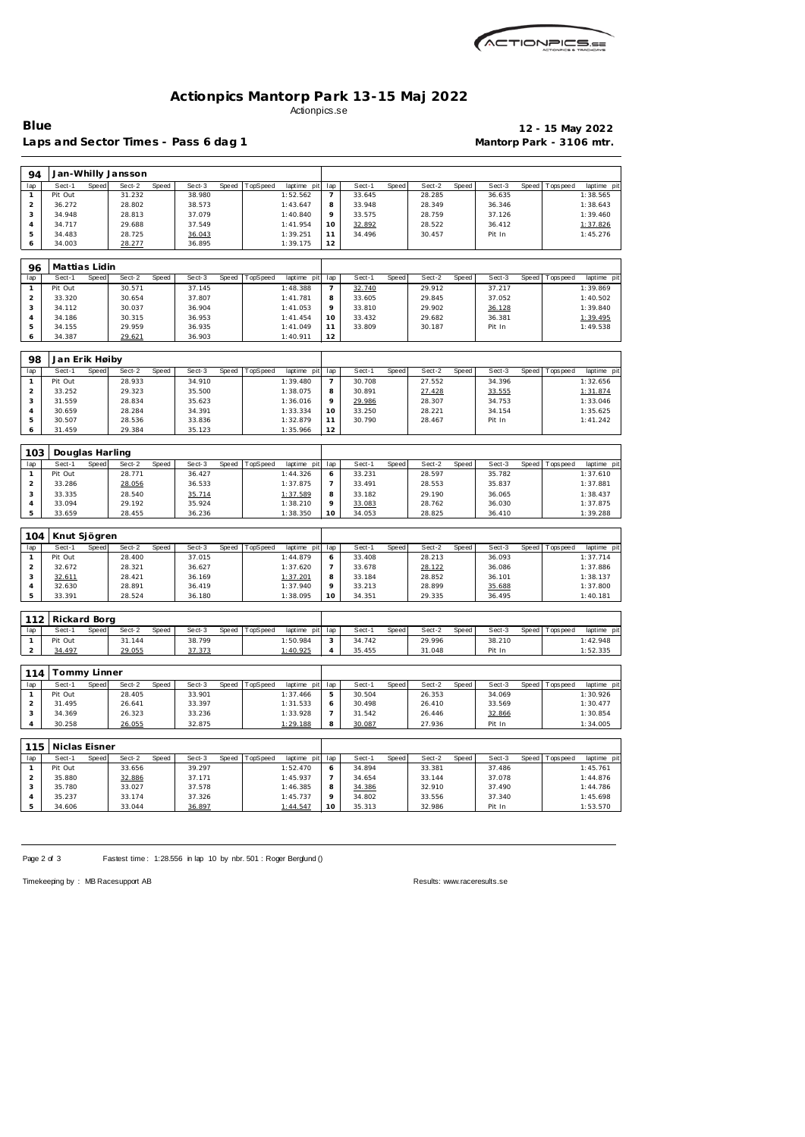

## **Actionpics Mantorp Park 13-15 Maj 2022** Actionpics.se

Laps and Sector Times - Pass 6 dag 1 **Mantorp Park - 3106 mtr.** 

**Blue 12 - 15 May 2022**

| 94                      |                        |       | Jan-Whilly Jansson |       |                  |       |          |                      |                |                  |       |                  |       |                  |       |                 |                      |
|-------------------------|------------------------|-------|--------------------|-------|------------------|-------|----------|----------------------|----------------|------------------|-------|------------------|-------|------------------|-------|-----------------|----------------------|
| lap                     | Sect-1                 | Speed | Sect-2             | Speed | Sect-3           | Speed | TopSpeed | laptime pit          | lap            | Sect-1           | Speed | Sect-2           | Speed | Sect-3           | Speed | T ops peed      | laptime pit          |
| $\mathbf{1}$            | Pit Out                |       | 31.232             |       | 38.980           |       |          | 1:52.562             | $\overline{7}$ | 33.645           |       | 28.285           |       | 36.635           |       |                 | 1:38.565             |
| $\overline{a}$          | 36.272                 |       | 28.802             |       | 38.573           |       |          | 1:43.647             | 8              | 33.948           |       | 28.349           |       | 36.346           |       |                 | 1:38.643             |
| 3                       | 34.948                 |       | 28.813             |       | 37.079           |       |          | 1:40.840             | 9              | 33.575           |       | 28.759           |       | 37.126           |       |                 | 1:39.460             |
| 4                       | 34.717                 |       | 29.688             |       | 37.549           |       |          | 1:41.954             | 10             | 32.892           |       | 28.522           |       | 36.412           |       |                 | 1:37.826             |
| 5                       | 34.483                 |       | 28.725             |       | 36.043           |       |          | 1:39.251             | 11             | 34.496           |       | 30.457           |       | Pit In           |       |                 | 1:45.276             |
| 6                       | 34.003                 |       | 28.277             |       | 36.895           |       |          | 1:39.175             | 12             |                  |       |                  |       |                  |       |                 |                      |
| 96                      | Mattias Lidin          |       |                    |       |                  |       |          |                      |                |                  |       |                  |       |                  |       |                 |                      |
| lap                     | Sect-1                 | Speed | Sect-2             | Speed | Sect-3           | Speed | TopSpeed | laptime pit          | lap            | Sect-1           | Speed | Sect-2           | Speed | Sect-3           | Speed | T ops pee d     | laptime pit          |
| $\mathbf{1}$            | Pit Out                |       | 30.571             |       | 37.145           |       |          | 1:48.388             | $\overline{7}$ | 32.740           |       | 29.912           |       | 37.217           |       |                 | 1:39.869             |
| $\overline{c}$          | 33.320                 |       | 30.654             |       | 37.807           |       |          | 1:41.781             | 8              | 33.605           |       | 29.845           |       | 37.052           |       |                 | 1:40.502             |
| 3                       | 34.112                 |       | 30.037             |       | 36.904           |       |          | 1:41.053             | 9              | 33.810           |       | 29.902           |       | 36.128           |       |                 | 1:39.840             |
| 4                       | 34.186                 |       | 30.315             |       | 36.953           |       |          | 1:41.454             | 10             | 33.432           |       | 29.682           |       | 36.381           |       |                 | 1:39.495             |
| 5                       | 34.155                 |       | 29.959             |       | 36.935           |       |          | 1:41.049             | 11             | 33.809           |       | 30.187           |       | Pit In           |       |                 | 1:49.538             |
| 6                       | 34.387                 |       | 29.621             |       | 36.903           |       |          | 1:40.911             | 12             |                  |       |                  |       |                  |       |                 |                      |
|                         |                        |       |                    |       |                  |       |          |                      |                |                  |       |                  |       |                  |       |                 |                      |
| 98                      | Jan Erik Høiby         |       |                    |       |                  |       |          |                      |                |                  |       |                  |       |                  |       |                 |                      |
| lap                     | Sect-1                 | Speed | Sect-2             | Speed | Sect-3           | Speed | TopSpeed | laptime pit          | lap            | Sect-1           | Speed | Sect-2           | Speed | Sect-3           | Speed | Tops pee d      | laptime pit          |
| $\mathbf{1}$            | Pit Out                |       | 28.933             |       | 34.910           |       |          | 1:39.480             | 7              | 30.708           |       | 27.552           |       | 34.396           |       |                 | 1:32.656             |
| $\overline{a}$          | 33.252                 |       | 29.323             |       | 35.500           |       |          | 1:38.075             | 8              | 30.891           |       | 27.428           |       | 33.555           |       |                 | 1:31.874             |
| 3<br>$\overline{4}$     | 31.559<br>30.659       |       | 28.834<br>28.284   |       | 35.623<br>34.391 |       |          | 1:36.016<br>1:33.334 | 9<br>10        | 29.986<br>33.250 |       | 28.307<br>28.221 |       | 34.753<br>34.154 |       |                 | 1:33.046<br>1:35.625 |
| 5                       | 30.507                 |       | 28.536             |       | 33.836           |       |          | 1:32.879             | 11             | 30.790           |       | 28.467           |       | Pit In           |       |                 | 1:41.242             |
| 6                       | 31.459                 |       | 29.384             |       | 35.123           |       |          | 1:35.966             | 12             |                  |       |                  |       |                  |       |                 |                      |
|                         |                        |       |                    |       |                  |       |          |                      |                |                  |       |                  |       |                  |       |                 |                      |
| 103                     | Douglas Harling        |       |                    |       |                  |       |          |                      |                |                  |       |                  |       |                  |       |                 |                      |
| lap                     | Sect-1                 | Speed | Sect-2             | Speed | Sect-3           | Speed | TopSpeed | laptime pit          | lap            | Sect-1           | Speed | Sect-2           | Speed | Sect-3           | Speed | Tops pee d      | laptime pit          |
| $\mathbf{1}$            | Pit Out                |       | 28.771             |       | 36.427           |       |          | 1:44.326             | 6              | 33.231           |       | 28.597           |       | 35.782           |       |                 | 1:37.610             |
| $\overline{\mathbf{c}}$ | 33.286                 |       | 28.056             |       | 36.533           |       |          | 1:37.875             | 7              | 33.491           |       | 28.553           |       | 35.837           |       |                 | 1:37.881             |
| 3                       | 33.335                 |       | 28.540             |       | 35.714           |       |          | 1:37.589             | 8              | 33.182           |       | 29.190           |       | 36.065           |       |                 | 1:38.437             |
| 4                       | 33.094                 |       | 29.192             |       | 35.924           |       |          | 1:38.210             | 9              | 33.083           |       | 28.762           |       | 36.030           |       |                 | 1:37.875             |
| 5                       | 33.659                 |       | 28.455             |       | 36.236           |       |          | 1:38.350             | 10             | 34.053           |       | 28.825           |       | 36.410           |       |                 | 1:39.288             |
| 104                     | Knut Sjögren           |       |                    |       |                  |       |          |                      |                |                  |       |                  |       |                  |       |                 |                      |
| lap                     | Sect-1                 | Speed | Sect-2             | Speed | Sect-3           | Speed | TopSpeed | laptime pit          | lap            | Sect-1           | Speed | Sect-2           | Speed | Sect-3           | Speed | Tops pee d      | laptime pit          |
| $\mathbf{1}$            | Pit Out                |       | 28.400             |       | 37.015           |       |          | 1:44.879             | 6              | 33.408           |       | 28.213           |       | 36.093           |       |                 | 1:37.714             |
| $\overline{c}$          | 32.672                 |       | 28.321             |       | 36.627           |       |          | 1:37.620             | 7              | 33.678           |       | 28.122           |       | 36.086           |       |                 | 1:37.886             |
| 3                       | 32.611                 |       | 28.421             |       | 36.169           |       |          | 1:37.201             | 8              | 33.184           |       | 28.852           |       | 36.101           |       |                 | 1:38.137             |
| $\overline{4}$          | 32.630                 |       | 28.891             |       | 36.419           |       |          | 1:37.940             | 9              | 33.213           |       | 28.899           |       | 35.688           |       |                 | 1:37.800             |
| 5                       | 33.391                 |       | 28.524             |       | 36.180           |       |          | 1:38.095             | 10             | 34.351           |       | 29.335           |       | 36.495           |       |                 | 1:40.181             |
|                         |                        |       |                    |       |                  |       |          |                      |                |                  |       |                  |       |                  |       |                 |                      |
| 112<br>lap              | Rickard Borg<br>Sect-1 | Speed | Sect-2             | Speed | Sect-3           | Speed | TopSpeed | laptime pit          | lap            | Sect-1           | Speed | Sect-2           | Speed | Sect-3           | Speed | Tops peed       | laptime pit          |
| $\mathbf{1}$            | Pit Out                |       | 31.144             |       | 38.799           |       |          | 1:50.984             | 3              | 34.742           |       | 29.996           |       | 38.210           |       |                 | 1:42.948             |
| $\overline{\mathbf{c}}$ | 34.497                 |       | 29.055             |       | 37.373           |       |          | 1:40.925             | 4              | 35.455           |       | 31.048           |       | Pit In           |       |                 | 1:52.335             |
|                         |                        |       |                    |       |                  |       |          |                      |                |                  |       |                  |       |                  |       |                 |                      |
| 114                     | Tommy Linner           |       |                    |       |                  |       |          |                      |                |                  |       |                  |       |                  |       |                 |                      |
| lap                     | Sect-1                 | Speed | Sect-2             | Speed | Sect-3           | Speed | TopSpeed | laptime pit          | lap            | Sect-1           | Speed | Sect-2           | Speed | Sect-3           | Speed | T ops pee d     | laptime pit          |
| $\mathbf{1}$            | Pit Out                |       | 28.405             |       | 33.901           |       |          | 1:37.466             | 5              | 30.504           |       | 26.353           |       | 34.069           |       |                 | 1:30.926             |
| $\overline{a}$          | 31.495                 |       | 26.641             |       | 33.397           |       |          | 1:31.533             | 6              | 30.498           |       | 26.410           |       | 33.569           |       |                 | 1:30.477             |
| 3                       | 34.369                 |       | 26.323             |       | 33.236           |       |          | 1:33.928             | $\overline{7}$ | 31.542           |       | 26.446           |       | 32.866           |       |                 | 1:30.854             |
| $\overline{4}$          | 30.258                 |       | 26.055             |       | 32.875           |       |          | 1:29.188             | 8              | 30.087           |       | 27.936           |       | Pit In           |       |                 | 1:34.005             |
| 115                     | Niclas Eisner          |       |                    |       |                  |       |          |                      |                |                  |       |                  |       |                  |       |                 |                      |
| lap                     | Sect-1                 | Speed | Sect-2             | Speed | Sect-3           | Speed | TopSpeed | laptime pit          | lap            | Sect-1           | Speed | Sect-2           | Speed | Sect-3           | Speed | <b>Topspeed</b> | laptime pit          |
| $\mathbf{1}$            | Pit Out                |       | 33.656             |       | 39.297           |       |          | 1:52.470             | 6              | 34.894           |       | 33.381           |       | 37.486           |       |                 | 1:45.761             |
| $\overline{a}$          | 35.880                 |       | 32.886             |       | 37.171           |       |          | 1:45.937             | 7              | 34.654           |       | 33.144           |       | 37.078           |       |                 | 1:44.876             |
| 3                       | 35.780                 |       | 33.027             |       | 37.578           |       |          | 1:46.385             | 8              | 34.386           |       | 32.910           |       | 37.490           |       |                 | 1:44.786             |
| 4                       | 35.237                 |       | 33.174             |       | 37.326           |       |          | 1:45.737             | 9              | 34.802           |       | 33.556           |       | 37.340           |       |                 | 1:45.698             |
| 5                       | 34.606                 |       | 33.044             |       | 36.897           |       |          | 1:44.547             | 10             | 35.313           |       | 32.986           |       | Pit In           |       |                 | 1:53.570             |

Page 2 of 3 Fastest time : 1:28.556 in lap 10 by nbr. 501 : Roger Berglund ()

Timekeeping by : MB Racesupport AB Results:<www.raceresults.se>